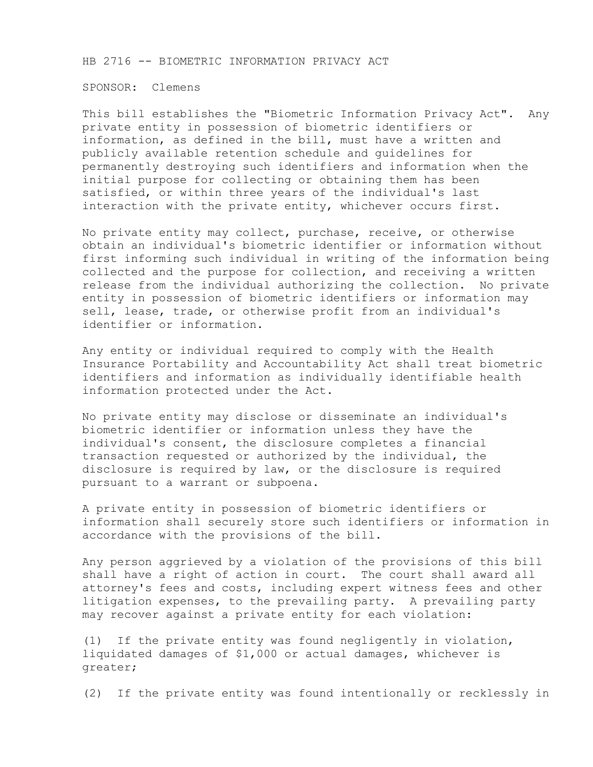HB 2716 -- BIOMETRIC INFORMATION PRIVACY ACT

SPONSOR: Clemens

This bill establishes the "Biometric Information Privacy Act". Any private entity in possession of biometric identifiers or information, as defined in the bill, must have a written and publicly available retention schedule and guidelines for permanently destroying such identifiers and information when the initial purpose for collecting or obtaining them has been satisfied, or within three years of the individual's last interaction with the private entity, whichever occurs first.

No private entity may collect, purchase, receive, or otherwise obtain an individual's biometric identifier or information without first informing such individual in writing of the information being collected and the purpose for collection, and receiving a written release from the individual authorizing the collection. No private entity in possession of biometric identifiers or information may sell, lease, trade, or otherwise profit from an individual's identifier or information.

Any entity or individual required to comply with the Health Insurance Portability and Accountability Act shall treat biometric identifiers and information as individually identifiable health information protected under the Act.

No private entity may disclose or disseminate an individual's biometric identifier or information unless they have the individual's consent, the disclosure completes a financial transaction requested or authorized by the individual, the disclosure is required by law, or the disclosure is required pursuant to a warrant or subpoena.

A private entity in possession of biometric identifiers or information shall securely store such identifiers or information in accordance with the provisions of the bill.

Any person aggrieved by a violation of the provisions of this bill shall have a right of action in court. The court shall award all attorney's fees and costs, including expert witness fees and other litigation expenses, to the prevailing party. A prevailing party may recover against a private entity for each violation:

(1) If the private entity was found negligently in violation, liquidated damages of \$1,000 or actual damages, whichever is greater;

(2) If the private entity was found intentionally or recklessly in